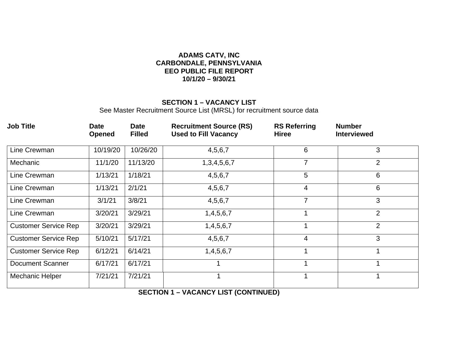#### **ADAMS CATV, INC CARBONDALE, PENNSYLVANIA EEO PUBLIC FILE REPORT 10/1/20 – 9/30/21**

#### **SECTION 1 – VACANCY LIST**

See Master Recruitment Source List (MRSL) for recruitment source data

| <b>Job Title</b>            | <b>Date</b><br>Opened | <b>Date</b><br><b>Filled</b> | <b>Recruitment Source (RS)</b><br><b>Used to Fill Vacancy</b> | <b>RS Referring</b><br><b>Hiree</b> | <b>Number</b><br><b>Interviewed</b> |
|-----------------------------|-----------------------|------------------------------|---------------------------------------------------------------|-------------------------------------|-------------------------------------|
| Line Crewman                | 10/19/20              | 10/26/20                     | 4,5,6,7                                                       | 6                                   | 3                                   |
| Mechanic                    | 11/1/20               | 11/13/20                     | 1,3,4,5,6,7                                                   | 7                                   | $\overline{2}$                      |
| Line Crewman                | 1/13/21               | 1/18/21                      | 4,5,6,7                                                       | 5                                   | 6                                   |
| Line Crewman                | 1/13/21               | 2/1/21                       | 4, 5, 6, 7                                                    | $\overline{4}$                      | 6                                   |
| Line Crewman                | 3/1/21                | 3/8/21                       | 4,5,6,7                                                       | $\overline{7}$                      | 3                                   |
| Line Crewman                | 3/20/21               | 3/29/21                      | 1,4,5,6,7                                                     | 1                                   | $\overline{2}$                      |
| <b>Customer Service Rep</b> | 3/20/21               | 3/29/21                      | 1,4,5,6,7                                                     | 1                                   | $\overline{2}$                      |
| <b>Customer Service Rep</b> | 5/10/21               | 5/17/21                      | 4, 5, 6, 7                                                    | $\overline{4}$                      | 3                                   |
| <b>Customer Service Rep</b> | 6/12/21               | 6/14/21                      | 1,4,5,6,7                                                     | $\mathbf{1}$                        | 1                                   |
| Document Scanner            | 6/17/21               | 6/17/21                      | 1                                                             | $\mathbf{1}$                        | 1                                   |
| <b>Mechanic Helper</b>      | 7/21/21               | 7/21/21                      | 1                                                             | 1                                   | 1                                   |

**SECTION 1 – VACANCY LIST (CONTINUED)**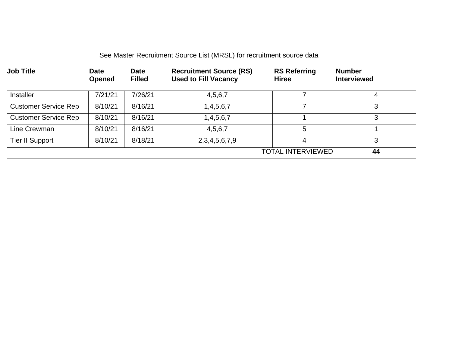# See Master Recruitment Source List (MRSL) for recruitment source data

| <b>Job Title</b>            | <b>Date</b><br><b>Opened</b> | <b>Date</b><br><b>Filled</b> | <b>Recruitment Source (RS)</b><br><b>Used to Fill Vacancy</b> | <b>RS Referring</b><br><b>Hiree</b> | <b>Number</b><br><b>Interviewed</b> |
|-----------------------------|------------------------------|------------------------------|---------------------------------------------------------------|-------------------------------------|-------------------------------------|
| <b>Installer</b>            | 7/21/21                      | 7/26/21                      | 4,5,6,7                                                       |                                     | 4                                   |
| <b>Customer Service Rep</b> | 8/10/21                      | 8/16/21                      | 1,4,5,6,7                                                     |                                     | 3                                   |
| <b>Customer Service Rep</b> | 8/10/21                      | 8/16/21                      | 1,4,5,6,7                                                     |                                     | 3                                   |
| Line Crewman                | 8/10/21                      | 8/16/21                      | 4,5,6,7                                                       | 5                                   |                                     |
| Tier II Support             | 8/10/21                      | 8/18/21                      | 2, 3, 4, 5, 6, 7, 9                                           | 4                                   | 3                                   |
|                             |                              |                              |                                                               | <b>TOTAL INTERVIEWED</b>            | 44                                  |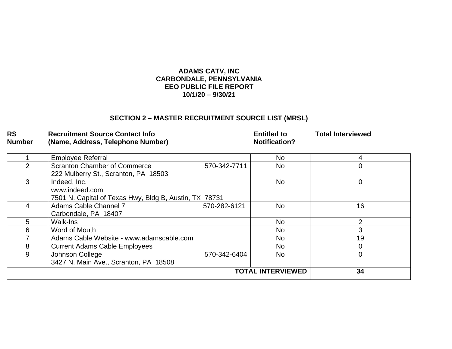#### **ADAMS CATV, INC CARBONDALE, PENNSYLVANIA EEO PUBLIC FILE REPORT 10/1/20 – 9/30/21**

# **SECTION 2 – MASTER RECRUITMENT SOURCE LIST (MRSL)**

# **RS Recruitment Source Contact Info Entitled to Total Interviewed (Name, Address, Telephone Number)**

|    | <b>Employee Referral</b>                               |              | <b>No</b>      |    |
|----|--------------------------------------------------------|--------------|----------------|----|
|    | <b>Scranton Chamber of Commerce</b>                    | 570-342-7711 | <b>No</b>      | 0  |
|    | 222 Mulberry St., Scranton, PA 18503                   |              |                |    |
|    | Indeed, Inc.                                           |              | N <sub>0</sub> | 0  |
|    | www.indeed.com                                         |              |                |    |
|    | 7501 N. Capital of Texas Hwy, Bldg B, Austin, TX 78731 |              |                |    |
| 4  | Adams Cable Channel 7                                  | 570-282-6121 | N <sub>0</sub> | 16 |
|    | Carbondale, PA 18407                                   |              |                |    |
| 5. | Walk-Ins                                               |              | No.            | ኅ  |
| 6. | Word of Mouth                                          |              | No.            | 3  |
|    | Adams Cable Website - www.adamscable.com               | No.          | 19             |    |
| 8  | <b>Current Adams Cable Employees</b>                   |              | <b>No</b>      |    |
| 9  | Johnson College                                        | 570-342-6404 | N <sub>0</sub> |    |
|    | 3427 N. Main Ave., Scranton, PA 18508                  |              |                |    |
|    | 34                                                     |              |                |    |
|    |                                                        |              |                |    |